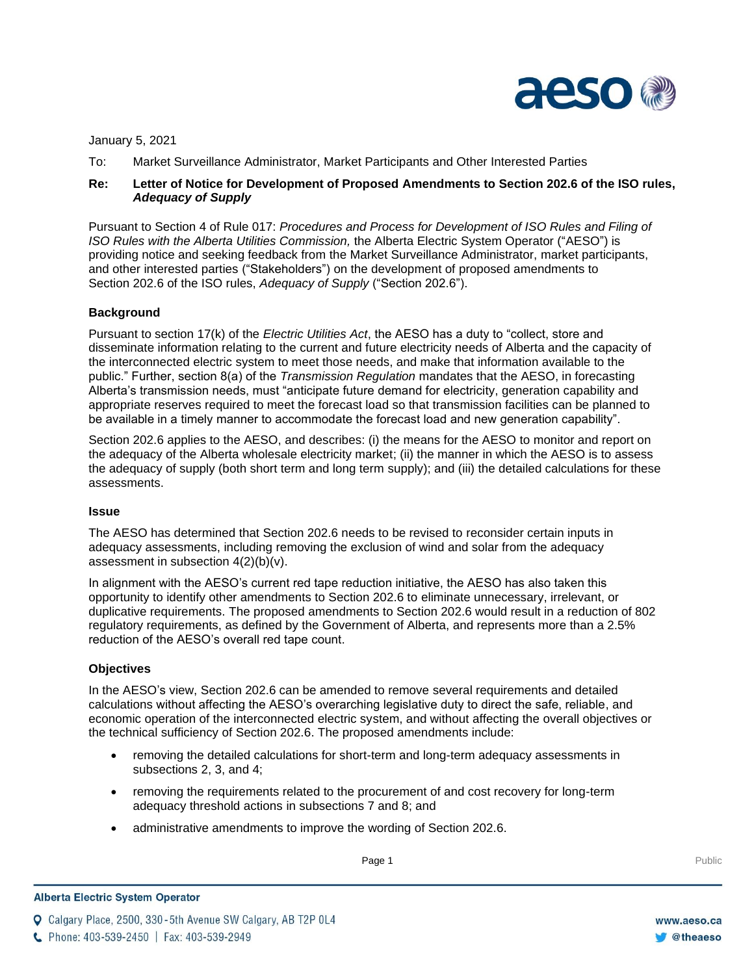

January 5, 2021

To: Market Surveillance Administrator, Market Participants and Other Interested Parties

# **Re: Letter of Notice for Development of Proposed Amendments to Section 202.6 of the ISO rules,**  *Adequacy of Supply*

Pursuant to Section 4 of Rule 017: *Procedures and Process for Development of ISO Rules and Filing of ISO Rules with the Alberta Utilities Commission,* the Alberta Electric System Operator ("AESO") is providing notice and seeking feedback from the Market Surveillance Administrator, market participants, and other interested parties ("Stakeholders") on the development of proposed amendments to Section 202.6 of the ISO rules, *Adequacy of Supply* ("Section 202.6").

# **Background**

Pursuant to section 17(k) of the *Electric Utilities Act*, the AESO has a duty to "collect, store and disseminate information relating to the current and future electricity needs of Alberta and the capacity of the interconnected electric system to meet those needs, and make that information available to the public." Further, section 8(a) of the *Transmission Regulation* mandates that the AESO, in forecasting Alberta's transmission needs, must "anticipate future demand for electricity, generation capability and appropriate reserves required to meet the forecast load so that transmission facilities can be planned to be available in a timely manner to accommodate the forecast load and new generation capability".

Section 202.6 applies to the AESO, and describes: (i) the means for the AESO to monitor and report on the adequacy of the Alberta wholesale electricity market; (ii) the manner in which the AESO is to assess the adequacy of supply (both short term and long term supply); and (iii) the detailed calculations for these assessments.

#### **Issue**

The AESO has determined that Section 202.6 needs to be revised to reconsider certain inputs in adequacy assessments, including removing the exclusion of wind and solar from the adequacy assessment in subsection 4(2)(b)(v).

In alignment with the AESO's current red tape reduction initiative, the AESO has also taken this opportunity to identify other amendments to Section 202.6 to eliminate unnecessary, irrelevant, or duplicative requirements. The proposed amendments to Section 202.6 would result in a reduction of 802 regulatory requirements, as defined by the Government of Alberta, and represents more than a 2.5% reduction of the AESO's overall red tape count.

# **Objectives**

In the AESO's view, Section 202.6 can be amended to remove several requirements and detailed calculations without affecting the AESO's overarching legislative duty to direct the safe, reliable, and economic operation of the interconnected electric system, and without affecting the overall objectives or the technical sufficiency of Section 202.6. The proposed amendments include:

- removing the detailed calculations for short-term and long-term adequacy assessments in subsections 2, 3, and 4;
- removing the requirements related to the procurement of and cost recovery for long-term adequacy threshold actions in subsections 7 and 8; and
- administrative amendments to improve the wording of Section 202.6.

**Q** Calgary Place, 2500, 330-5th Avenue SW Calgary, AB T2P 0L4